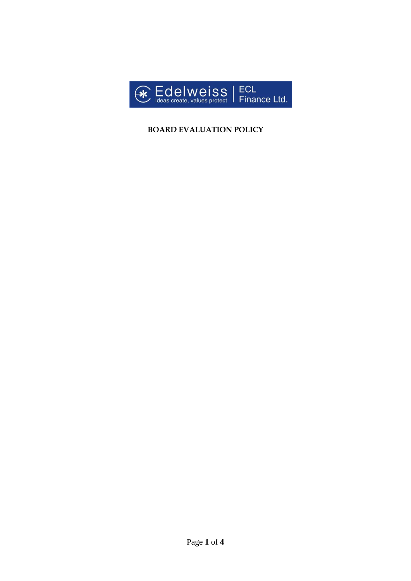

# **BOARD EVALUATION POLICY**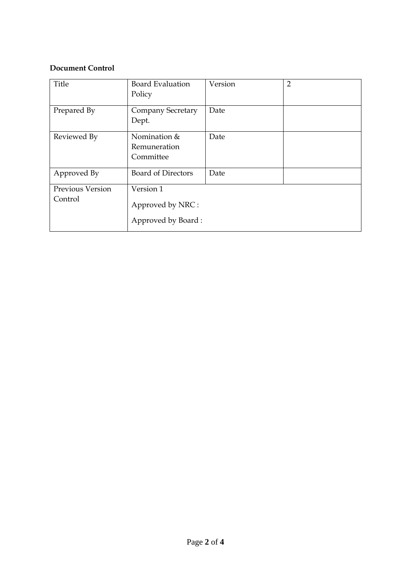### **Document Control**

| Title                              | <b>Board Evaluation</b><br>Policy                   | Version | $\overline{2}$ |
|------------------------------------|-----------------------------------------------------|---------|----------------|
| Prepared By                        | <b>Company Secretary</b><br>Dept.                   | Date    |                |
| Reviewed By                        | Nomination &<br>Remuneration<br>Committee           | Date    |                |
| Approved By                        | <b>Board of Directors</b>                           | Date    |                |
| <b>Previous Version</b><br>Control | Version 1<br>Approved by NRC:<br>Approved by Board: |         |                |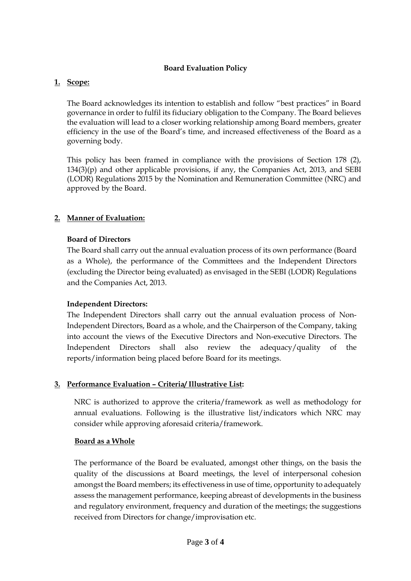### **Board Evaluation Policy**

### **1. Scope:**

The Board acknowledges its intention to establish and follow "best practices" in Board governance in order to fulfil its fiduciary obligation to the Company. The Board believes the evaluation will lead to a closer working relationship among Board members, greater efficiency in the use of the Board's time, and increased effectiveness of the Board as a governing body.

This policy has been framed in compliance with the provisions of Section 178 (2),  $134(3)(p)$  and other applicable provisions, if any, the Companies Act, 2013, and SEBI (LODR) Regulations 2015 by the Nomination and Remuneration Committee (NRC) and approved by the Board.

### **2. Manner of Evaluation:**

### **Board of Directors**

The Board shall carry out the annual evaluation process of its own performance (Board as a Whole), the performance of the Committees and the Independent Directors (excluding the Director being evaluated) as envisaged in the SEBI (LODR) Regulations and the Companies Act, 2013.

### **Independent Directors:**

The Independent Directors shall carry out the annual evaluation process of Non-Independent Directors, Board as a whole, and the Chairperson of the Company, taking into account the views of the Executive Directors and Non-executive Directors. The Independent Directors shall also review the adequacy/quality of the reports/information being placed before Board for its meetings.

# **3. Performance Evaluation – Criteria/ Illustrative List:**

NRC is authorized to approve the criteria/framework as well as methodology for annual evaluations. Following is the illustrative list/indicators which NRC may consider while approving aforesaid criteria/framework.

### **Board as a Whole**

The performance of the Board be evaluated, amongst other things, on the basis the quality of the discussions at Board meetings, the level of interpersonal cohesion amongst the Board members; its effectiveness in use of time, opportunity to adequately assess the management performance, keeping abreast of developments in the business and regulatory environment, frequency and duration of the meetings; the suggestions received from Directors for change/improvisation etc.